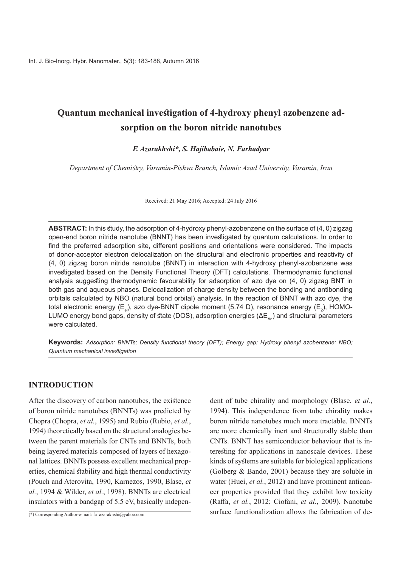# **Quantum mechanical investigation of 4-hydroxy phenyl azobenzene adsorption** on the boron nitride nanotubes

#### *F. Azarakhshi\*, S. Hajibabaie, N. Farhadyar*

*Department of Chemistry, Varamin-Pishva Branch, Islamic Azad University, Varamin, Iran* 

Received: 21 May 2016; Accepted: 24 July 2016

ABSTRACT: In this study, the adsorption of 4-hydroxy phenyl-azobenzene on the surface of (4, 0) ziqzag open-end boron nitride nanotube (BNNT) has been investigated by quantum calculations. In order to find the preferred adsorption site, different positions and orientations were considered. The impacts of donor-acceptor electron delocalization on the structural and electronic properties and reactivity of  $(4, 0)$  zigzag boron nitride nanotube (BNNT) in interaction with 4-hydroxy phenyl-azobenzene was investigated based on the Density Functional Theory (DFT) calculations. Thermodynamic functional analysis suggesting thermodynamic favourability for adsorption of azo dye on  $(4, 0)$  zigzag BNT in both gas and aqueous phases. Delocalization of charge density between the bonding and antibonding orbitals calculated by NBO (natural bond orbital) analysis. In the reaction of BNNT with azo dye, the total electronic energy (E<sub>el</sub>), azo dye-BNNT dipole moment (5.74 D), resonance energy (E<sub>2</sub>), HOMO LUMO energy bond gaps, density of state (DOS), adsorption energies ( $\Delta E_{\text{ad}}$ ) and structural parameters were calculated.

**Keywords:** Adsorption; BNNTs; Density functional theory (DFT); Energy gap; Hydroxy phenyl azobenzene; NBO; *investigation mechanical Quantum*

#### **INTRODUCTION**

After the discovery of carbon nanotubes, the existence of boron nitride nanotubes (BNNTs) was predicted by *Chopra (Chopra, et al., 1995)* and Rubio (Rubio, et al., tween the parent materials for CNTs and BNNTs, both 1994) theoretically based on the structural analogies beerties, chemical stability and high thermal conductivity nal lattices. BNNTs possess excellent mechanical propbeing layered materials composed of layers of hexago-*(Pouch and Aterovita, 1990, Karnezos, 1990, Blase, et* al., 1994 & Wilder, et al., 1998). BNNTs are electrical insulators with a bandgap of  $5.5$  eV, basically indepen-

(\*) Corresponding Author-e-mail: fa azarakhshi@yahoo.com

dent of tube chirality and morphology (Blase, *et al.*, 1994). This independence from tube chirality makes<br>
boron nitride nanotubes much more tractable. BNNTs<br>
are more chemically inert and structurally stable than<br>
CNTs. 1994). This independence from tube chirality makes boron nitride nanotubes much more tractable. BNNTs are more chemically inert and structurally stable than teresting for applications in nanoscale devices. These CNTs. BNNT has semiconductor behaviour that is inkinds of systems are suitable for biological applications (Golberg & Bando, 2001) because they are soluble in cer properties provided that they exhibit low toxicity water (Huei, et al., 2012) and have prominent antican-(Raffa, et al., 2012; Ciofani, et al., 2009). Nanotube surface functionalization allows the fabrication of de-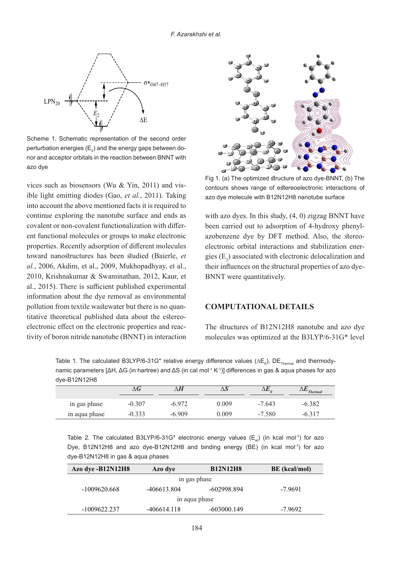

Scheme 1. Schematic representation of the second order perturbation energies ( $\mathsf{E}_2$ ) and the energy gaps between do nor and acceptor orbitals in the reaction between BNNT with azo dye

vices such as biosensors (Wu & Yin, 2011) and visible light emitting diodes (Gao, *et al.*, 2011). Taking into account the above mentioned facts it is required to continue exploring the nanotube surface and ends as ent functional molecules or groups to make electronic covalent or non-covalent functionalization with differproperties. Recently adsorption of different molecules toward nanostructures has been studied (Baierle, et *al.*, 2006, Akdim, et al., 2009, Mukhopadhyay, et al., 2010, Krishnakumar & Swaminathan, 2012, Kaur, et al., 2015). There is sufficient published experimental information about the dye removal as environmental tivity of boron nitride nanotube (BNNT) in interaction electronic effect on the electronic properties and reactitative theoretical published data about the estereopollution from textile wastewater but there is no quan-



Fig 1. (a) The optimized structure of azo dye-BNNT, (b) The contours shows range of estereoelectronic interactions of azo dye molecule with B12N12H8 nanotube surface

with azo dyes. In this study,  $(4, 0)$  zigzag BNNT have electronic orbital interactions and stabilization energies  $(E_2)$  associated with electronic delocalization and azobenzene dye by DFT method. Also, the stereo-electronic orbital interactions and stabilization enerazobenzene dye by DFT method. Also, the stereobeen carried out to adsorption of 4-hydroxy phenylgies  $(E_2)$  associated with electronic delocalization and their influences on the structural properties of azo dye-<br>BNNT-were quantitatively.

## **COMPUTATIONAL DETAILS**

The structures of B12N12H8 nanotube and azo dye molecules was optimized at the B3LYP/6-31G\* level

Table 1. The calculated B3LYP/6-31G\* relative energy difference values ( $\Delta {\sf E}_0$ ), DE $_{\sf{Thermal}}$  and thermody namic parameters [ΔH, ΔG (in hartree) and ΔS (in cal mol<sup>-1</sup> K<sup>-1</sup>)] differences in gas & aqua phases for azo dye-B12N12H8

|                           |        |        |       |             | $T$ hermal |
|---------------------------|--------|--------|-------|-------------|------------|
| $\bullet$<br>in gas phase | -0.307 | -6.972 | 0.009 | $-7.643$    |            |
| $\sim$<br>in aqua phase   |        | 909    | .009  | -580<br>- 1 |            |

Table 2. The calculated B3LYP/6-31G\* electronic energy values ( $E_a$ ) (in kcal mol<sup>-1</sup>) for azo Dye, B12N12H8 and azo dye-B12N12H8 and binding energy (BE) (in kcal mol<sup>-1</sup>) for azo dye-B12N12H8 in gas & aqua phases

| Azo dye -B12N12H8 | Azo dye     | <b>B12N12H8</b> | <b>BE</b> (kcal/mol) |  |  |
|-------------------|-------------|-----------------|----------------------|--|--|
| in gas phase      |             |                 |                      |  |  |
| $-1009620.668$    | -406613.804 | -602998.894     | $-7.9691$            |  |  |
| in aqua phase     |             |                 |                      |  |  |
| $-1009622.237$    | -406614.118 | $-603000.149$   | $-7.9692$            |  |  |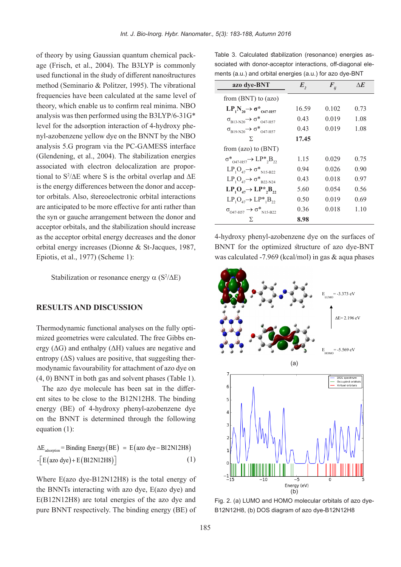age (Frisch, et al., 2004). The B3LYP is commonly of theory by using Gaussian quantum chemical packused functional in the study of different nanostructures method (Seminario & Politzer, 1995). The vibrational frequencies have been calculated at the same level of theory, which enable us to confirm real minima. NBO analysis was then performed using the B3LYP/6-31G\* nyl-azobenzene yellow dye on the BNNT by the NBO level for the adsorption interaction of 4-hydroxy pheanalysis 5.G program via the PC-GAMESS interface (Glendening, et al.,  $2004$ ). The stabilization energies associated with electron delocalization are proportional to  $S^2/\Delta E$  where S is the orbital overlap and  $\Delta E$ associated with electron delocalization are proportor orbitals. Also, stereoelectronic orbital interactions is the energy differences between the donor and accepare anticipated to be more effective for anti rather than the syn or gauche arrangement between the donor and acceptor orbitals, and the stabilization should increase as the acceptor orbital energy decreases and the donor orbital energy increases (Dionne & St-Jacques, 1987, Epiotis, et al.,  $1977$ ) (Scheme 1):

Stabilization or resonance energy  $\alpha$  (S<sup>2</sup>/ $\Delta$ E)

### **RESULTS AND DISCUSSION**

ergy ( $\Delta G$ ) and enthalpy ( $\Delta H$ ) values are negative and mized geometries were calculated. The free Gibbs en-Thermodynamic functional analyses on the fully optimodynamic favourability for attachment of azo dye on entropy  $( \Delta S)$  values are positive, that suggesting ther- $(4, 0)$  BNNT in both gas and solvent phases (Table 1).

ent sites to be close to the  $B12N12H8$ . The binding The azo dye molecule has been sat in the differenergy (BE) of 4-hydroxy phenyl-azobenzene dye on the BNNT is determined through the following equation  $(1)$ :

$$
\Delta E_{\text{adsorption}} = \text{ Binding Energy}(BE) = E(\text{azo dye} - B12N12H8)
$$

$$
-[E(\text{azo dye}) + E(B12N12H8)] \tag{1}
$$

Where  $E(azo\ dye-B12N12H8)$  is the total energy of the BNNTs interacting with azo dye, E(azo dye) and  $E(B12N12H8)$  are total energies of the azo dye and pure BNNT respectively. The binding energy (BE) of

ments (a.u.) and orbital energies (a.u.) for azo dye-BNT sociated with donor-acceptor interactions, off-diagonal ele-Table 3. Calculated stabilization (resonance) energies as-

| azo dye-BNT                                                     | E,    | $\boldsymbol{F}_{ij}$ | ΛE   |
|-----------------------------------------------------------------|-------|-----------------------|------|
| from $(BNT)$ to $(azo)$                                         |       |                       |      |
| $LP_1N_{20} \rightarrow \sigma^*_{047-H57}$                     | 16.59 | 0.102                 | 0.73 |
| $\sigma_{B13-N20} \rightarrow \sigma^*_{O47-H57}$               | 0.43  | 0.019                 | 1.08 |
| $\sigma_{B19-N20}$ $\rightarrow$ $\sigma^*$ <sub>047-H57</sub>  | 0.43  | 0.019                 | 1.08 |
| Σ                                                               | 17.45 |                       |      |
| from $(azo)$ to $(BNT)$                                         |       |                       |      |
| $\sigma^*_{0.47\text{-H57}} \rightarrow \text{LP*}_{2}B_{22}$   | 1.15  | 0.029                 | 0.75 |
| $LP_1O_{47} \rightarrow \sigma_{N15-B22}^*$                     | 0.94  | 0.026                 | 0.90 |
| $LP_1O_{47} \rightarrow \sigma_{B22-N24}^*$                     | 0.43  | 0.018                 | 0.97 |
| $LP_1O_{47} \rightarrow LP^*, B_{22}$                           | 5.60  | 0.054                 | 0.56 |
| $LP_1O_{47} \rightarrow LP^*{}_{1}B_{22}$                       | 0.50  | 0.019                 | 0.69 |
| $\sigma_{\text{O47-H57}} \rightarrow \sigma^*_{\text{N15-B22}}$ | 0.36  | 0.018                 | 1.10 |
| Σ                                                               | 8.98  |                       |      |

4-hydroxy phenyl-azobenzene dye on the surfaces of BNNT for the optimized structure of azo dye-BNT was calculated  $-7.969$  (kcal/mol) in gas & aqua phases



B12N12H8, (b) DOS diagram of azo dye-B12N12H8 Fig. 2. (a) LUMO and HOMO molecular orbitals of azo dye-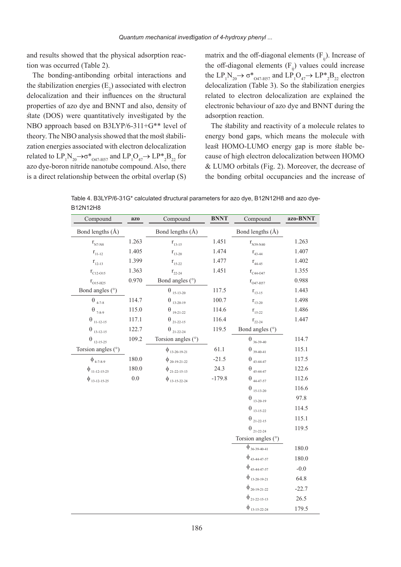and results showed that the physical adsorption reaction was occurred (Table 2).

The bonding-antibonding orbital interactions and the stabilization energies  $(E_2)$  associated with electron delocalization and their influences on the structural properties of azo dye and BNNT and also, density of state (DOS) were quantitatively investigated by the NBO approach based on  $B3LYP/6-311+G^{**}$  level of zation energies associated with electron delocalization theory. The NBO analysis showed that the most stabilirelated to  $LP_1N_{20} \rightarrow \sigma^*_{O47-H57}$  and  $LP_1O_{47} \rightarrow LP^*_{2}B_{22}$  for azo dye-boron nitride nanotube compound. Also, there is a direct relationship between the orbital overlap  $(S)$ 

matrix and the off-diagonal elements  $(F_n)$ . Increase of the off-diagonal elements  $(F_{ii})$  values could increase the  $LP_1N_{20} \rightarrow \sigma^*_{O47-H57}$  and  $LP_1O_{47} \rightarrow LP^*_{2}B_{22}$  electron delocalization (Table 3). So the stabilization energies related to electron delocalization are explained the electronic behaviour of azo dye and BNNT during the adsorption reaction.

The stability and reactivity of a molecule relates to energy bond gaps, which means the molecule with cause of high electron delocalization between HOMO least HOMO-LUMO energy gap is more stable be- $&$  LUMO orbitals (Fig. 2). Moreover, the decrease of the bonding orbital occupancies and the increase of

Table 4. B3LYP/6-31G\* calculated structural parameters for azo dye, B12N12H8 and azo dye-<br>B12N12H8

| Compound                             | <b>azo</b> | Compound                             | <b>BNNT</b> | Compound                                              | azo-BNNT |
|--------------------------------------|------------|--------------------------------------|-------------|-------------------------------------------------------|----------|
| Bond lengths (Å)                     |            | Bond lengths (Å)                     |             | Bond lengths (Å)                                      |          |
| $r_{\rm N7\text{-}N8}$               | 1.263      | $r_{13-15}$                          | 1.451       | $r_{N39-N40}$                                         | 1.263    |
| $r_{11-12}$                          | 1.405      | $r_{13-20}$                          | 1.474       | $r_{43-44}$                                           | 1.407    |
| $r_{12-13}$                          | 1.399      | $r_{15-22}$                          | 1.477       | $\rm r_{44\text{-}45}$                                | 1.402    |
| $r_{C12-O15}$                        | 1.363      | $r_{22-24}$                          | 1.451       | $\rm r_{C44\text{-}O47}$                              | 1.355    |
| $r_{\rm o15-H25}$                    | 0.970      | Bond angles (°)                      |             | $\rm r_{\rm O47-H57}$                                 | 0.988    |
| Bond angles (°)                      |            | $\theta_{15-13-20}$                  | 117.5       | $r_{13-15}$                                           | 1.443    |
| $\Theta_{\scriptscriptstyle{4-7-8}}$ | 114.7      | $\theta_{_{13\text{-}20\text{-}19}}$ | 100.7       | $r_{13-20}$                                           | 1.498    |
| $\theta$ <sub>7-8-9</sub>            | 115.0      | $\theta_{_{19\text{-}21\text{-}22}}$ | 114.6       | $r_{15-22}$                                           | 1.486    |
| $\theta_{_{11\text{-}12\text{-}15}}$ | 117.1      | $\theta_{_{21\text{-}22\text{-}15}}$ | 116.4       | $r_{22-24}$                                           | 1.447    |
| $\theta_{_{13\text{-}12\text{-}15}}$ | 122.7      | $\theta_{_{21\text{-}22\text{-}24}}$ | 119.5       | Bond angles (°)                                       |          |
| $\Theta_{_{12\text{-}15\text{-}25}}$ | 109.2      | Torsion angles (°)                   |             | $\Theta_{36\text{-}39\text{-}40}$                     | 114.7    |
| Torsion angles (°)                   |            | $\phi$ <sub>13-20-19-21</sub>        | 61.1        | $\Theta_{_{39\text{-}40\text{-}41}}$                  | 115.1    |
| $\phi$ <sub>4-7-8-9</sub>            | 180.0      | $\phi_{20-19-21-22}$                 | $-21.5$     | $\Theta_{\scriptscriptstyle\,43\text{-}44\text{-}47}$ | 117.5    |
| $\phi_{11-12-15-25}$                 | 180.0      | $\phi_{21-22-15-13}$                 | 24.3        | $\Theta_{\scriptscriptstyle\ 45\text{-}44\text{-}47}$ | 122.6    |
| $\phi$ <sub>13-12-15-25</sub>        | $0.0\,$    | $\phi$ <sub>13-15-22-24</sub>        | $-179.8$    | $\Theta$ $_{44\text{-}47\text{-}57}$                  | 112.6    |
|                                      |            |                                      |             | $\Theta_{_{15\text{-}13\text{-}20}}$                  | 116.6    |
|                                      |            |                                      |             | $\theta_{13-20-19}$                                   | 97.8     |
|                                      |            |                                      |             | $\theta_{_{13\text{-}15\text{-}22}}$                  | 114.5    |
|                                      |            |                                      |             | $\theta_{_{21\text{-}22\text{-}15}}$                  | 115.1    |
|                                      |            |                                      |             | $\theta_{_{21\text{-}22\text{-}24}}$                  | 119.5    |
|                                      |            |                                      |             | Torsion angles (°)                                    |          |
|                                      |            |                                      |             | $\phi_{36-39-40-41}$                                  | 180.0    |
|                                      |            |                                      |             | $\phi$ <sub>43-44-47-57</sub>                         | 180.0    |
|                                      |            |                                      |             | $\phi$ <sub>45-44-47-57</sub>                         | $-0.0$   |
|                                      |            |                                      |             | $\phi_{13-20-19-21}$                                  | 64.8     |
|                                      |            |                                      |             | $\phi_{20-19-21-22}$                                  | $-22.7$  |
|                                      |            |                                      |             | $\phi_{21-22-15-13}$                                  | 26.5     |
|                                      |            |                                      |             | $\phi$ <sub>13-15-22-24</sub>                         | 179.5    |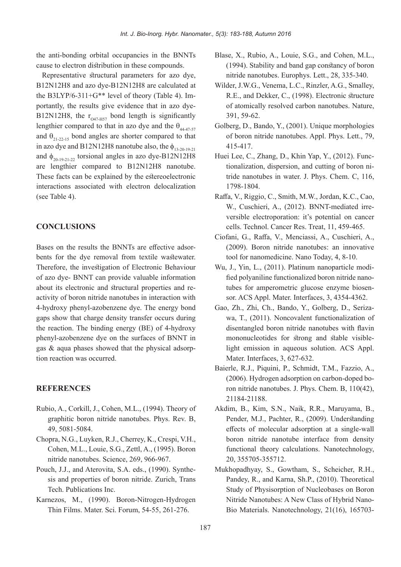the anti-bonding orbital occupancies in the BNNTs cause to electron distribution in these compounds.

Representative structural parameters for azo dye, B12N12H8 and azo dye-B12N12H8 are calculated at B12N12H8, the  $r_{O47-H57}$  bond length is significantly portantly, the results give evidence that in azo dyethe B3LYP/6-311+G\*\* level of theory (Table 4). Imlengthier compared to that in azo dye and the  $\theta_{44.47.57}$ and  $\theta_{21-22-15}$  bond angles are shorter compared to that in azo dye and B12N12H8 nanotube also, the  $\phi_{13-20-19-21}$ and  $\phi_{20-19-21-22}$  torsional angles in azo dye-B12N12H8 are lengthier compared to B12N12H8 nanotube. These facts can be explained by the estereoelectronic interactions associated with electron delocalization (see Table 4).

#### **CONCLUSIONS**

bents for the dye removal from textile wastewater. Bases on the results the BNNTs are effective adsor-Therefore, the investigation of Electronic Behaviour of azo dye- BNNT can provide valuable information activity of boron nitride nanotubes in interaction with about its electronic and structural properties and re-4-hydroxy phenyl-azobenzene-dye. The energy bond gaps show that charge density transfer occurs during the reaction. The binding energy  $(BE)$  of 4-hydroxy phenyl-azobenzene dye on the surfaces of BNNT in gas & aqua phases showed that the physical adsorption reaction was occurred.

### **REFERENCES**

- Rubio, A., Corkill, J., Cohen, M.L., (1994). Theory of graphitic boron nitride nanotubes. Phys. Rev. B, 5081-5084. 49,
- Chopra, N.G., Luyken, R.J., Cherrey, K., Crespi, V.H., Cohen, M.L., Louie, S.G., Zettl, A., (1995). Boron nitride nanotubes. Science, 269, 966-967.
- sis and properties of boron nitride. Zurich, Trans Pouch, J.J., and Aterovita, S.A. eds., (1990). Synthe-Tech. Publications Inc.
- Karnezos, M., (1990). Boron-Nitrogen-Hydrogen Thin Films. Mater. Sci. Forum, 54-55, 261-276.
- Blase, X., Rubio, A., Louie, S.G., and Cohen, M.L.,  $(1994)$ . Stability and band gap constancy of boron nitride nanotubes. Europhys. Lett., 28, 335-340.
- Wilder, J.W.G., Venema, L.C., Rinzler, A.G., Smalley, R.E., and Dekker, C., (1998). Electronic structure of atomically resolved carbon nanotubes. Nature, 59-62. 391,
- Golberg, D., Bando, Y., (2001). Unique morphologies of boron nitride nanotubes. Appl. Phys. Lett., 79, 415-417.
- tride nanotubes in water. J. Phys. Chem. C, 116, tionalization, dispersion, and cutting of boron ni-Huei Lee, C., Zhang, D., Khin Yap, Y., (2012). Func-1798-1804.
- Raffa, V., Riggio, C., Smith, M.W., Jordan, K.C., Cao, versible electroporation: it's potential on cancer W., Cuschieri, A., (2012). BNNT-mediated irrecells. Technol. Cancer Res. Treat. 11, 459-465.
- Ciofani, G., Raffa, V., Menciassi, A., Cuschieri, A.,  $(2009)$ . Boron nitride nanotubes: an innovative tool for nanomedicine. Nano Today, 4, 8-10.
- sor. ACS Appl. Mater. Interfaces, 3, 4354-4362. tubes for amperometric glucose enzyme biosenfied polyaniline functionalized boron nitride nano-Wu, J., Yin, L., (2011). Platinum nanoparticle modi-
- wa, T., (2011). Noncovalent functionalization of Gao, Zh., Zhi, Ch., Bando, Y., Golberg, D., Serizadisentangled boron nitride nanotubes with flavin light emission in aqueous solution. ACS Appl. mononucleotides for strong and stable visible-Mater. Interfaces, 3, 627-632.
- Baierle, R.J., Piquini, P., Schmidt, T.M., Fazzio, A., ron nitride nanotubes. J. Phys. Chem. B. 110(42).  $(2006)$ . Hydrogen adsorption on carbon-doped bo-21184-21188.
- Akdim, B., Kim, S.N., Naik, R.R., Maruyama, B., Pender, M.J., Pachter, R., (2009). Understanding effects of molecular adsorption at a single-wall boron nitride nanotube interface from density functional theory calculations. Nanotechnology, 20, 355705-355712.
- Mukhopadhyay, S., Gowtham, S., Scheicher, R.H., Pandey, R., and Karna, Sh.P., (2010). Theoretical Study of Physisorption of Nucleobases on Boron Bio Materials. Nanotechnology, 21(16), 165703-Nitride Nanotubes: A New Class of Hybrid Nano-